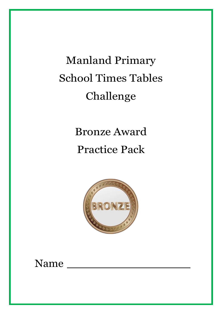# Manland Primary School Times Tables Challenge

# Bronze Award Practice Pack



# Name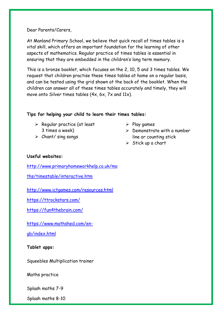Dear Parents/Carers,

At Manland Primary School, we believe that quick recall of times tables is a vital skill, which offers an important foundation for the learning of other aspects of mathematics. Regular practice of times tables is essential in ensuring that they are embedded in the children's long term memory.

This is a bronze booklet, which focuses on the 2, 10, 5 and 3 times tables. We request that children practise these times tables at home on a regular basis, and can be tested using the grid shown at the back of the booklet. When the children can answer all of these times tables accurately and timely, they will move onto Silver times tables (4x, 6x, 7x and 11x).

#### **Tips for helping your child to learn their times tables:**

- ➢ Regular practice (at least 3 times a week)
- $\triangleright$  Chant/sing songs
- $\triangleright$  Play games
- $\triangleright$  Demonstrate with a number line or counting stick
- $\triangleright$  Stick up a chart

#### **Useful websites:**

[http://www.primaryhomeworkhelp.co.uk/ma](http://www.primaryhomeworkhelp.co.uk/maths/timestable/interactive.htm)

[ths/timestable/interactive.htm](http://www.primaryhomeworkhelp.co.uk/maths/timestable/interactive.htm)

<http://www.ictgames.com/resources.html>

<https://ttrockstars.com/>

<https://fun4thebrain.com/>

[https://www.mathshed.com/en-](https://www.mathshed.com/en-gb/index.html)

[gb/index.html](https://www.mathshed.com/en-gb/index.html)

**Tablet apps:** 

Squeebles Multiplication trainer

Maths practice

Splash maths 7-9

Splash maths 8-10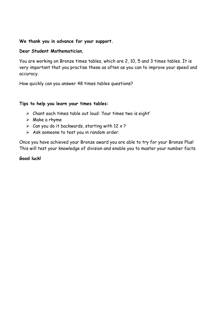#### **We thank you in advance for your support.**

#### **Dear Student Mathematician**,

You are working on Bronze times tables, which are 2, 10, 5 and 3 times tables. It is very important that you practise these as often as you can to improve your speed and accuracy.

How quickly can you answer 48 times tables questions?

#### **Tips to help you learn your times tables:**

- ➢ Chant each times table out loud: 'four times two is eight'
- $\triangleright$  Make a rhyme
- $\triangleright$  Can you do it backwards, starting with 12 x ?
- ➢ Ask someone to test you in random order.

Once you have achieved your Bronze award you are able to try for your Bronze Plus! This will test your knowledge of division and enable you to master your number facts.

#### **Good luck!**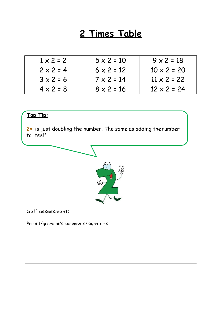| $1 \times 2 = 2$ | $5 \times 2 = 10$ | $9 \times 2 = 18$  |
|------------------|-------------------|--------------------|
| $2 \times 2 = 4$ | $6 \times 2 = 12$ | $10 \times 2 = 20$ |
| $3 \times 2 = 6$ | $7 \times 2 = 14$ | $11 \times 2 = 22$ |
| $4 \times 2 = 8$ | $8 \times 2 = 16$ | $12 \times 2 = 24$ |

### **Top Tip:**

**2×** is just doubling the number. The same as adding the number to itself.



Self assessment:

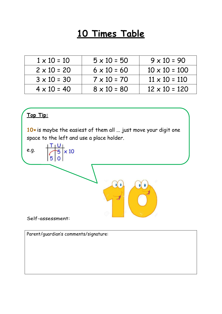| $1 \times 10 = 10$ | $5 \times 10 = 50$ | $9 \times 10 = 90$   |
|--------------------|--------------------|----------------------|
| $2 \times 10 = 20$ | $6 \times 10 = 60$ | $10 \times 10 = 100$ |
| $3 \times 10 = 30$ | $7 \times 10 = 70$ | $11 \times 10 = 110$ |
| $4 \times 10 = 40$ | $8 \times 10 = 80$ | $12 \times 10 = 120$ |



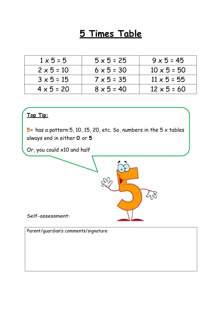| $1 \times 5 = 5$  | $5 \times 5 = 25$ | $9 \times 5 = 45$  |
|-------------------|-------------------|--------------------|
| $2 \times 5 = 10$ | $6 \times 5 = 30$ | $10 \times 5 = 50$ |
| $3 \times 5 = 15$ | $7 \times 5 = 35$ | $11 \times 5 = 55$ |
| $4 \times 5 = 20$ | $8 \times 5 = 40$ | $12 \times 5 = 60$ |

### **Top Tip:**

**5×** has a pattern:5, 10, 15, 20, etc. So, numbers in the 5 x tables always end in either **0** or **5**

Or, you could x10 and half



Parent/guardian's comments/signature: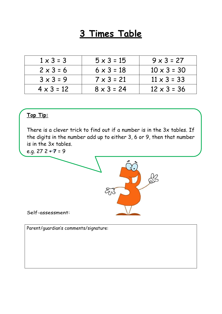| $1 \times 3 = 3$  | $5 \times 3 = 15$ | $9 \times 3 = 27$  |
|-------------------|-------------------|--------------------|
| $2 \times 3 = 6$  | $6 \times 3 = 18$ | $10 \times 3 = 30$ |
| $3 \times 3 = 9$  | $7 \times 3 = 21$ | $11 \times 3 = 33$ |
| $4 \times 3 = 12$ | $8 \times 3 = 24$ | $12 \times 3 = 36$ |

### **Top Tip:**

There is a clever trick to find out if a number is in the 3x tables. If the digits in the number add up to either 3, 6 or 9, then that number is in the 3x tables.

e.g.  $272 + 7 = 9$ 



Parent/guardian's comments/signature: